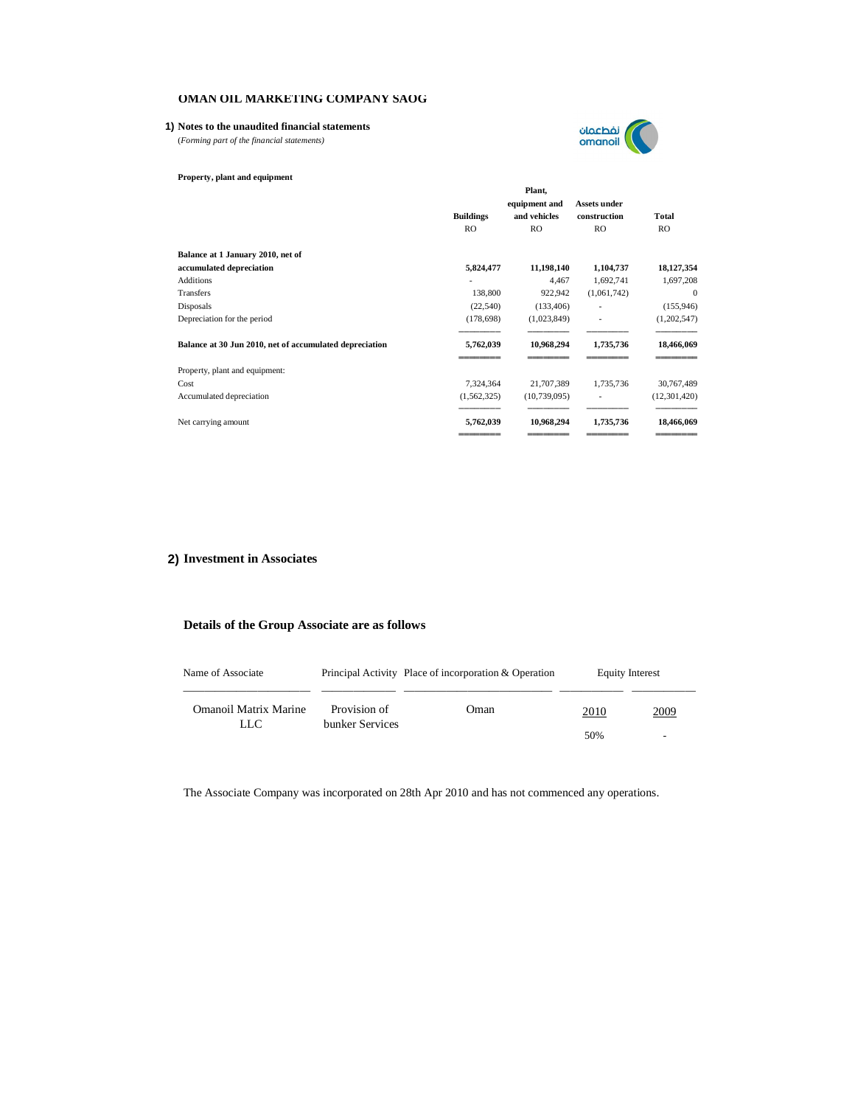## **1) Notes to the unaudited financial statements**

(*Forming part of the financial statements)*



**Property, plant and equipment**

|                                                         | <b>Buildings</b><br>RO. | Plant,<br>equipment and<br>and vehicles<br>RO | <b>Assets under</b><br>construction<br>RO. | Total<br>RO.   |
|---------------------------------------------------------|-------------------------|-----------------------------------------------|--------------------------------------------|----------------|
| Balance at 1 January 2010, net of                       |                         |                                               |                                            |                |
| accumulated depreciation                                | 5,824,477               | 11,198,140                                    | 1,104,737                                  | 18,127,354     |
| <b>Additions</b>                                        |                         | 4,467                                         | 1,692,741                                  | 1,697,208      |
| Transfers                                               | 138,800                 | 922,942                                       | (1,061,742)                                | $\theta$       |
| Disposals                                               | (22, 540)               | (133, 406)                                    |                                            | (155, 946)     |
| Depreciation for the period                             | (178, 698)              | (1,023,849)                                   |                                            | (1,202,547)    |
| Balance at 30 Jun 2010, net of accumulated depreciation | 5,762,039               | 10,968,294                                    | 1,735,736                                  | 18,466,069     |
| Property, plant and equipment:                          |                         |                                               |                                            |                |
| Cost                                                    | 7,324,364               | 21,707,389                                    | 1,735,736                                  | 30,767,489     |
| Accumulated depreciation                                | (1, 562, 325)           | (10, 739, 095)                                |                                            | (12, 301, 420) |
| Net carrying amount                                     | 5,762,039               | 10,968,294                                    | 1,735,736                                  | 18,466,069     |

# **2) Investment in Associates**

# **Details of the Group Associate are as follows**

| Name of Associate     |                                 | Principal Activity Place of incorporation & Operation |                          | Equity Interest |
|-----------------------|---------------------------------|-------------------------------------------------------|--------------------------|-----------------|
| Omanoil Matrix Marine | Provision of<br>bunker Services | Oman                                                  | 2010                     | 2009            |
| LLC                   |                                 | 50%                                                   | $\overline{\phantom{0}}$ |                 |

The Associate Company was incorporated on 28th Apr 2010 and has not commenced any operations.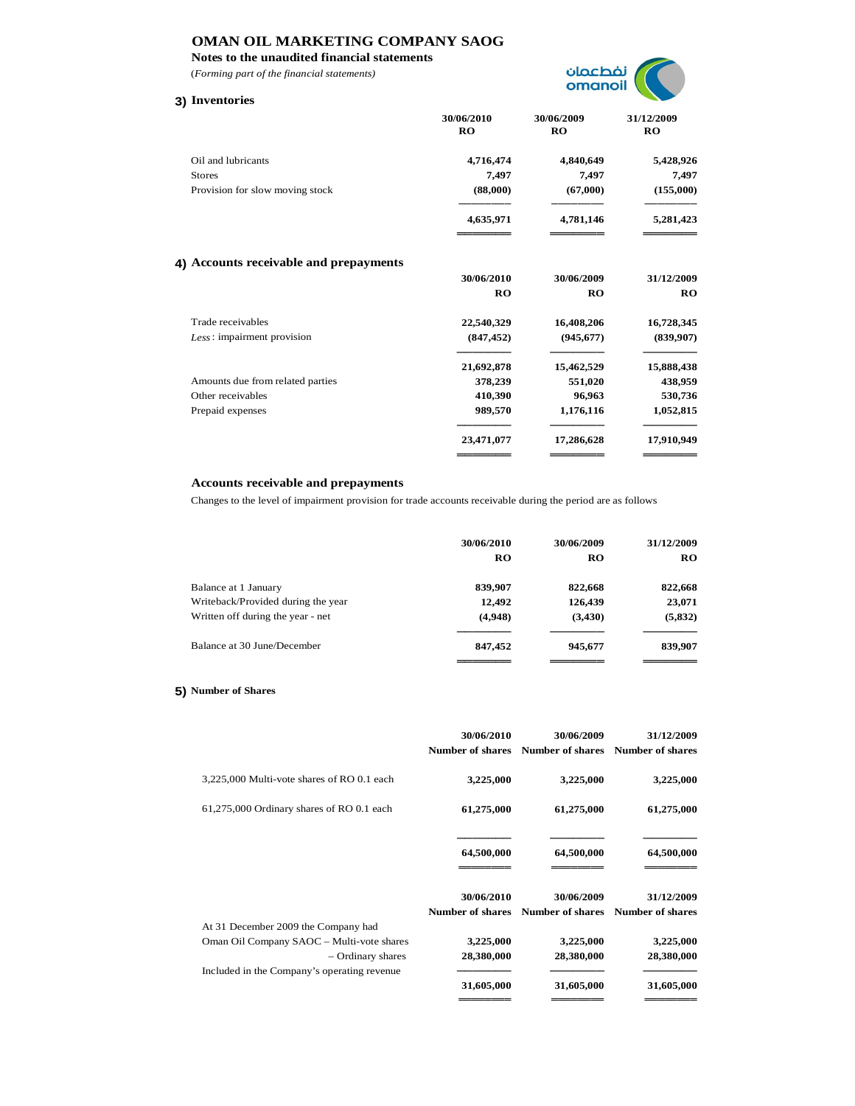**Notes to the unaudited financial statements**

(*Forming part of the financial statements)*

# **3) Inventories**



|                                        | 30/06/2010<br><b>RO</b> | 30/06/2009<br><b>RO</b> | 31/12/2009<br><b>RO</b> |
|----------------------------------------|-------------------------|-------------------------|-------------------------|
| Oil and lubricants                     | 4,716,474               | 4,840,649               | 5,428,926               |
| <b>Stores</b>                          | 7,497                   | 7,497                   | 7,497                   |
| Provision for slow moving stock        | (88,000)                | (67,000)                | (155,000)               |
|                                        | 4,635,971               | 4,781,146               | 5,281,423               |
| 4) Accounts receivable and prepayments |                         |                         |                         |
|                                        | 30/06/2010              | 30/06/2009              | 31/12/2009              |
|                                        | RO                      | RO                      | RO                      |
| Trade receivables                      | 22,540,329              | 16,408,206              | 16,728,345              |
| Less: impairment provision             | (847, 452)              | (945, 677)              | (839,907)               |
|                                        | 21,692,878              | 15,462,529              | 15,888,438              |
| Amounts due from related parties       | 378,239                 | 551,020                 | 438,959                 |
| Other receivables                      | 410,390                 | 96,963                  | 530,736                 |
| Prepaid expenses                       | 989,570                 | 1,176,116               | 1,052,815               |
|                                        | 23,471,077              | 17,286,628              | 17,910,949              |
|                                        |                         |                         |                         |

# **Accounts receivable and prepayments**

Changes to the level of impairment provision for trade accounts receivable during the period are as follows

|                                    | 30/06/2010<br>RO | 30/06/2009<br>RO | 31/12/2009<br>RO |
|------------------------------------|------------------|------------------|------------------|
| Balance at 1 January               | 839,907          | 822,668          | 822,668          |
| Writeback/Provided during the year | 12,492           | 126,439          | 23,071           |
| Written off during the year - net  | (4,948)          | (3, 430)         | (5, 832)         |
| Balance at 30 June/December        | 847,452          | 945,677          | 839,907          |
|                                    |                  |                  |                  |

# **5) Number of Shares**

|                                                                                                                                                      | 30/06/2010<br><b>Number of shares</b> | 30/06/2009<br><b>Number of shares</b> | 31/12/2009<br><b>Number of shares</b> |
|------------------------------------------------------------------------------------------------------------------------------------------------------|---------------------------------------|---------------------------------------|---------------------------------------|
| 3,225,000 Multi-vote shares of RO 0.1 each                                                                                                           | 3,225,000                             | 3,225,000                             | 3,225,000                             |
| 61,275,000 Ordinary shares of RO 0.1 each                                                                                                            | 61,275,000                            | 61,275,000                            | 61,275,000                            |
|                                                                                                                                                      | 64,500,000                            | 64,500,000                            | 64,500,000                            |
|                                                                                                                                                      | 30/06/2010<br><b>Number of shares</b> | 30/06/2009<br><b>Number of shares</b> | 31/12/2009<br><b>Number of shares</b> |
| At 31 December 2009 the Company had<br>Oman Oil Company SAOC - Multi-vote shares<br>- Ordinary shares<br>Included in the Company's operating revenue | 3,225,000<br>28,380,000               | 3,225,000<br>28,380,000               | 3,225,000<br>28,380,000               |
|                                                                                                                                                      | 31,605,000                            | 31,605,000                            | 31,605,000                            |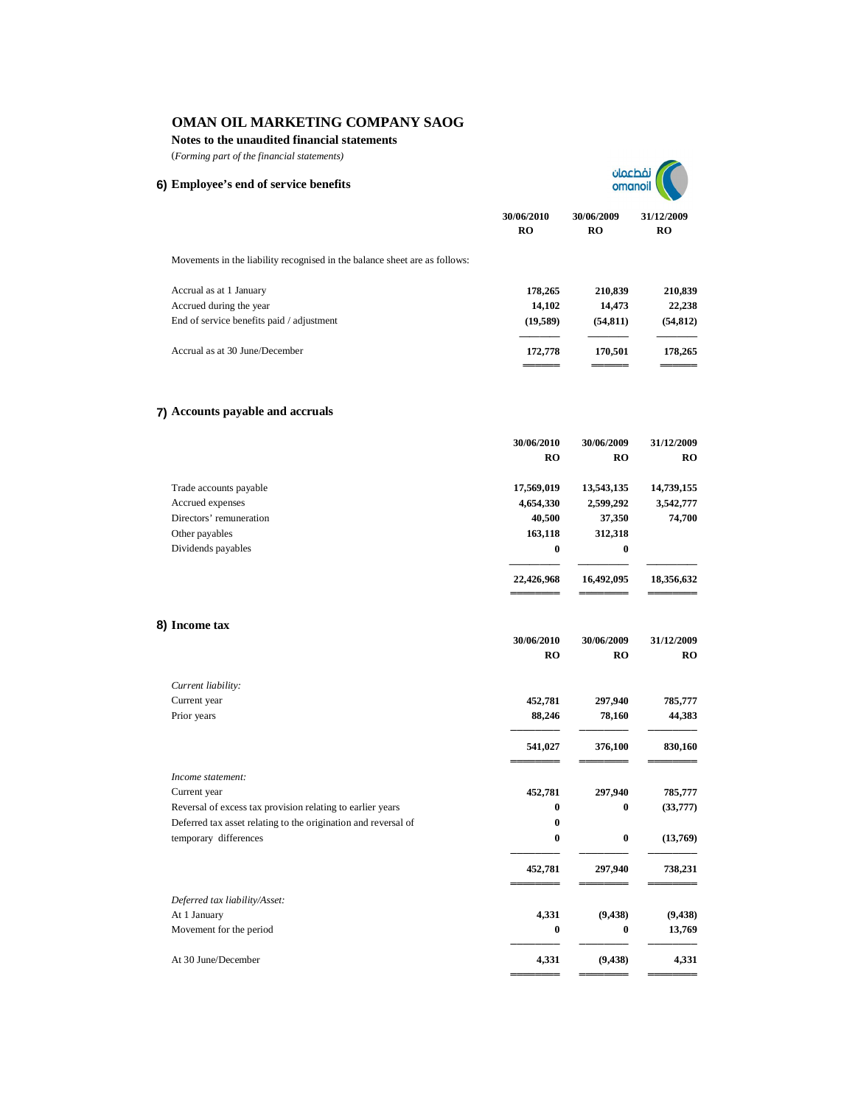## **Notes to the unaudited financial statements**

(*Forming part of the financial statements)*

**6) Employee's end of service benefits**

| نفطعمان |  |
|---------|--|
| omanoil |  |

**30/06/2010 30/06/2009 31/12/2009 RO RO RO**

**30/06/2010 30/06/2009 31/12/2009**

**őőőőőőőő őőőőőőőő őőőőőőőő**

Movements in the liability recognised in the balance sheet are as follows:

| Accrual as at 1 January                   | 178.265  | 210.839  | 210,839   |
|-------------------------------------------|----------|----------|-----------|
| Accrued during the year                   | 14.102   | 14.473   | 22,238    |
| End of service benefits paid / adjustment | (19.589) | (54.811) | (54, 812) |
| Accrual as at 30 June/December            | 172,778  | 170.501  | 178,265   |
|                                           |          |          |           |

## **7) Accounts payable and accruals**

|                         | 30/06/2010 | 30/06/2009 | 31/12/2009 |
|-------------------------|------------|------------|------------|
|                         | <b>RO</b>  | <b>RO</b>  | <b>RO</b>  |
| Trade accounts payable  | 17,569,019 | 13,543,135 | 14,739,155 |
| Accrued expenses        | 4,654,330  | 2,599,292  | 3,542,777  |
| Directors' remuneration | 40,500     | 37,350     | 74,700     |
| Other payables          | 163,118    | 312,318    |            |
| Dividends payables      | $\bf{0}$   | $\bf{0}$   |            |
|                         |            |            |            |
|                         | 22,426,968 | 16,492,095 | 18,356,632 |
|                         |            |            |            |

# **8) Income tax**

|                                                                | RO       | <b>RO</b> | RO       |
|----------------------------------------------------------------|----------|-----------|----------|
| Current liability:                                             |          |           |          |
| Current year                                                   | 452,781  | 297,940   | 785,777  |
| Prior years                                                    | 88,246   | 78,160    | 44,383   |
|                                                                | 541,027  | 376,100   | 830,160  |
| Income statement:                                              |          |           |          |
| Current year                                                   | 452,781  | 297,940   | 785,777  |
| Reversal of excess tax provision relating to earlier years     | $\bf{0}$ | $\bf{0}$  | (33,777) |
| Deferred tax asset relating to the origination and reversal of | $\bf{0}$ |           |          |
| temporary differences                                          | $\bf{0}$ | $\bf{0}$  | (13,769) |
|                                                                | 452,781  | 297,940   | 738,231  |
| Deferred tax liability/Asset:                                  |          |           |          |
| At 1 January                                                   | 4,331    | (9, 438)  | (9, 438) |
| Movement for the period                                        | $\bf{0}$ | $\bf{0}$  | 13,769   |
| At 30 June/December                                            | 4,331    | (9, 438)  | 4,331    |